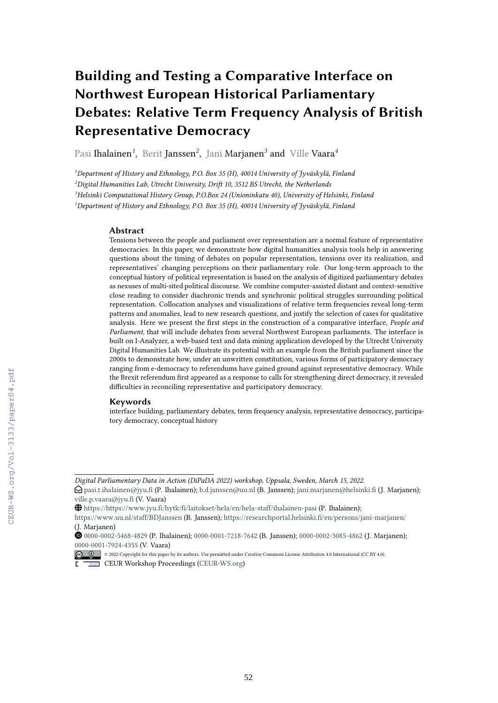# **Building and Testing a Comparative Interface on Northwest European Historical Parliamentary Debates: Relative Term Frequency Analysis of British Representative Democracy**

Pasi Ihalainen*<sup>1</sup>* , Berit Janssen*<sup>2</sup>* , Jani Marjanen*<sup>3</sup>* and Ville Vaara*<sup>4</sup>*

*Department of History and Ethnology, P.O. Box 35 (H), 40014 University of Jyväskylä, Finland Digital Humanities Lab, Utrecht University, Drift 10, 3512 BS Utrecht, the Netherlands Helsinki Computational History Group, P.O.Box 24 (Unioninkatu 40), University of Helsinki, Finland Department of History and Ethnology, P.O. Box 35 (H), 40014 University of Jyväskylä, Finland*

### **Abstract**

Tensions between the people and parliament over representation are a normal feature of representative democracies. In this paper, we demonstrate how digital humanities analysis tools help in answering questions about the timing of debates on popular representation, tensions over its realization, and representatives' changing perceptions on their parliamentary role. Our long-term approach to the conceptual history of political representation is based on the analysis of digitized parliamentary debates as nexuses of multi-sited political discourse. We combine computer-assisted distant and context-sensitive close reading to consider diachronic trends and synchronic political struggles surrounding political representation. Collocation analyses and visualizations of relative term frequencies reveal long-term patterns and anomalies, lead to new research questions, and justify the selection of cases for qualitative analysis. Here we present the first steps in the construction of a comparative interface, *People and Parliament*, that will include debates from several Northwest European parliaments. The interface is built on I-Analyzer, a web-based text and data mining application developed by the Utrecht University Digital Humanities Lab. We illustrate its potential with an example from the British parliament since the 2000s to demonstrate how, under an unwritten constitution, various forms of participatory democracy ranging from e-democracy to referendums have gained ground against representative democracy. While the Brexit referendum first appeared as a response to calls for strengthening direct democracy, it revealed difficulties in reconciling representative and participatory democracy.

### **Keywords**

interface building, parliamentary debates, term frequency analysis, representative democracy, participatory democracy, conceptual history

Orcid [0000-0002-5468-4829](https://orcid.org/0000-0002-5468-4829) (P. Ihalainen); [0000-0001-7218-7642](https://orcid.org/0000-0001-7218-7642) (B. Janssen); [0000-0002-3085-4862](https://orcid.org/0000-0002-3085-4862) (J. Marjanen); [0000-0001-7924-4355](https://orcid.org/0000-0001-7924-4355) (V. Vaara)



<sup>©</sup> 2022 Copyright for this paper by its authors. Use permitted under Creative Commons License Attribution 4.0 International (CC BY 4.0).

*Digital Parliamentary Data in Action (DiPaDA 2022) workshop, Uppsala, Sweden, March 15, 2022.*

 $\bigcirc$  [pasi.t.ihalainen@jyu.fi](mailto:pasi.t.ihalainen@jyu.fi) (P. Ihalainen); [b.d.janssen@uu.nl](mailto:b.d.janssen@uu.nl) (B. Janssen); [jani.marjanen@helsinki.fi](mailto:jani.marjanen@helsinki.fi) (J. Marjanen); [ville.p.vaara@jyu.fi](mailto:ville.p.vaara@jyu.fi) (V. Vaara)

GLOBE <https://https://www.jyu.fi/hytk/fi/laitokset/hela/en/hela-staff/ihalainen-pasi> (P. Ihalainen);

<https://www.uu.nl/staff/BDJanssen> (B. Janssen); <https://researchportal.helsinki.fi/en/persons/jani-marjanen/> (J. Marjanen)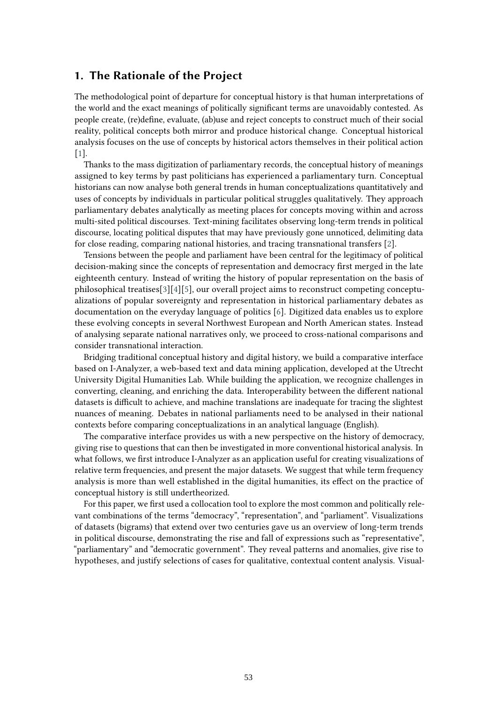# **1. The Rationale of the Project**

The methodological point of departure for conceptual history is that human interpretations of the world and the exact meanings of politically significant terms are unavoidably contested. As people create, (re)define, evaluate, (ab)use and reject concepts to construct much of their social reality, political concepts both mirror and produce historical change. Conceptual historical analysis focuses on the use of concepts by historical actors themselves in their political action [\[1\]](#page-15-0).

Thanks to the mass digitization of parliamentary records, the conceptual history of meanings assigned to key terms by past politicians has experienced a parliamentary turn. Conceptual historians can now analyse both general trends in human conceptualizations quantitatively and uses of concepts by individuals in particular political struggles qualitatively. They approach parliamentary debates analytically as meeting places for concepts moving within and across multi-sited political discourses. Text-mining facilitates observing long-term trends in political discourse, locating political disputes that may have previously gone unnoticed, delimiting data for close reading, comparing national histories, and tracing transnational transfers [\[2\]](#page-15-1).

Tensions between the people and parliament have been central for the legitimacy of political decision-making since the concepts of representation and democracy first merged in the late eighteenth century. Instead of writing the history of popular representation on the basis of philosophical treatises[\[3\]](#page-15-2)[\[4\]](#page-15-3)[\[5\]](#page-15-4), our overall project aims to reconstruct competing conceptualizations of popular sovereignty and representation in historical parliamentary debates as documentation on the everyday language of politics [\[6\]](#page-15-5). Digitized data enables us to explore these evolving concepts in several Northwest European and North American states. Instead of analysing separate national narratives only, we proceed to cross-national comparisons and consider transnational interaction.

Bridging traditional conceptual history and digital history, we build a comparative interface based on I-Analyzer, a web-based text and data mining application, developed at the Utrecht University Digital Humanities Lab. While building the application, we recognize challenges in converting, cleaning, and enriching the data. Interoperability between the different national datasets is difficult to achieve, and machine translations are inadequate for tracing the slightest nuances of meaning. Debates in national parliaments need to be analysed in their national contexts before comparing conceptualizations in an analytical language (English).

The comparative interface provides us with a new perspective on the history of democracy, giving rise to questions that can then be investigated in more conventional historical analysis. In what follows, we first introduce I-Analyzer as an application useful for creating visualizations of relative term frequencies, and present the major datasets. We suggest that while term frequency analysis is more than well established in the digital humanities, its effect on the practice of conceptual history is still undertheorized.

For this paper, we first used a collocation tool to explore the most common and politically relevant combinations of the terms "democracy", "representation", and "parliament". Visualizations of datasets (bigrams) that extend over two centuries gave us an overview of long-term trends in political discourse, demonstrating the rise and fall of expressions such as "representative", "parliamentary" and "democratic government". They reveal patterns and anomalies, give rise to hypotheses, and justify selections of cases for qualitative, contextual content analysis. Visual-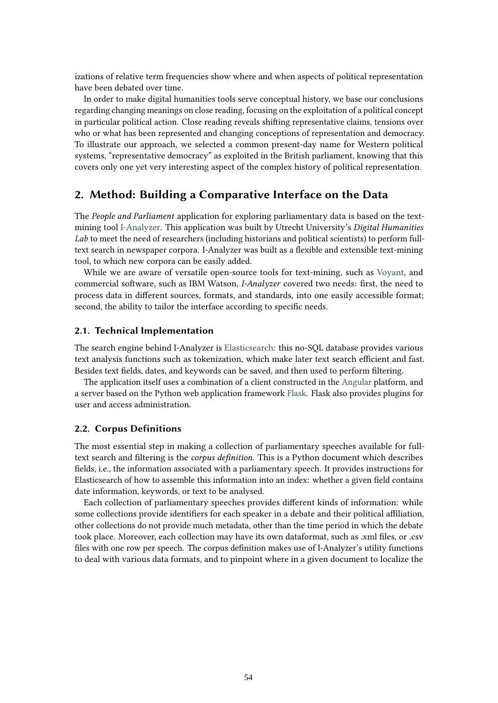izations of relative term frequencies show where and when aspects of political representation have been debated over time.

In order to make digital humanities tools serve conceptual history, we base our conclusions regarding changing meanings on close reading, focusing on the exploitation of a political concept in particular political action. Close reading reveals shifting representative claims, tensions over who or what has been represented and changing conceptions of representation and democracy. To illustrate our approach, we selected a common present-day name for Western political systems, "representative democracy" as exploited in the British parliament, knowing that this covers only one yet very interesting aspect of the complex history of political representation.

# **2. Method: Building a Comparative Interface on the Data**

The *People and Parliament* application for exploring parliamentary data is based on the textmining tool [I-Analyzer.](https://ianalyzer.hum.uu.nl) This application was built by Utrecht University's *Digital Humanities Lab* to meet the need of researchers (including historians and political scientists) to perform fulltext search in newspaper corpora. I-Analyzer was built as a flexible and extensible text-mining tool, to which new corpora can be easily added.

While we are aware of versatile open-source tools for text-mining, such as [Voyant,](https://voyant-tools.org) and commercial software, such as IBM Watson, *I-Analyzer* covered two needs: first, the need to process data in different sources, formats, and standards, into one easily accessible format; second, the ability to tailor the interface according to specific needs.

### **2.1. Technical Implementation**

The search engine behind I-Analyzer is [Elasticsearch:](https://www.elastic.co/) this no-SQL database provides various text analysis functions such as tokenization, which make later text search efficient and fast. Besides text fields, dates, and keywords can be saved, and then used to perform filtering.

The application itself uses a combination of a client constructed in the [Angular](https://angular.io/) platform, and a server based on the Python web application framework [Flask.](https://flask.palletsprojects.com/en/1.0.x/) Flask also provides plugins for user and access administration.

### **2.2. Corpus Definitions**

The most essential step in making a collection of parliamentary speeches available for fulltext search and filtering is the *corpus definition*. This is a Python document which describes fields, i.e., the information associated with a parliamentary speech. It provides instructions for Elasticsearch of how to assemble this information into an index: whether a given field contains date information, keywords, or text to be analysed.

Each collection of parliamentary speeches provides different kinds of information: while some collections provide identifiers for each speaker in a debate and their political affiliation, other collections do not provide much metadata, other than the time period in which the debate took place. Moreover, each collection may have its own dataformat, such as .xml files, or .csv files with one row per speech. The corpus definition makes use of I-Analyzer's utility functions to deal with various data formats, and to pinpoint where in a given document to localize the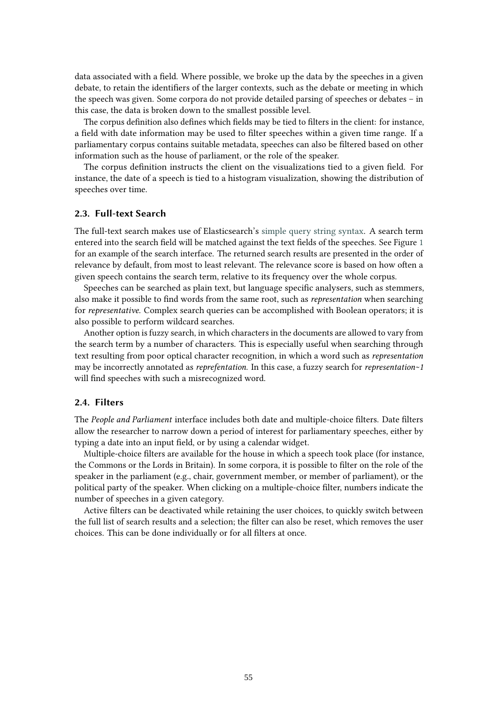data associated with a field. Where possible, we broke up the data by the speeches in a given debate, to retain the identifiers of the larger contexts, such as the debate or meeting in which the speech was given. Some corpora do not provide detailed parsing of speeches or debates – in this case, the data is broken down to the smallest possible level.

The corpus definition also defines which fields may be tied to filters in the client: for instance, a field with date information may be used to filter speeches within a given time range. If a parliamentary corpus contains suitable metadata, speeches can also be filtered based on other information such as the house of parliament, or the role of the speaker.

The corpus definition instructs the client on the visualizations tied to a given field. For instance, the date of a speech is tied to a histogram visualization, showing the distribution of speeches over time.

### **2.3. Full-text Search**

The full-text search makes use of Elasticsearch's [simple query string syntax.](https://www.elastic.co/guide/en/elasticsearch/reference/current/query-dsl-simple-query-string-query.html) A search term entered into the search field will be matched against the text fields of the speeches. See Figure [1](#page-4-0) for an example of the search interface. The returned search results are presented in the order of relevance by default, from most to least relevant. The relevance score is based on how often a given speech contains the search term, relative to its frequency over the whole corpus.

Speeches can be searched as plain text, but language specific analysers, such as stemmers, also make it possible to find words from the same root, such as *representation* when searching for *representative*. Complex search queries can be accomplished with Boolean operators; it is also possible to perform wildcard searches.

Another option is fuzzy search, in which characters in the documents are allowed to vary from the search term by a number of characters. This is especially useful when searching through text resulting from poor optical character recognition, in which a word such as *representation* may be incorrectly annotated as *reprefentation*. In this case, a fuzzy search for *representation~1* will find speeches with such a misrecognized word.

### **2.4. Filters**

The *People and Parliament* interface includes both date and multiple-choice filters. Date filters allow the researcher to narrow down a period of interest for parliamentary speeches, either by typing a date into an input field, or by using a calendar widget.

Multiple-choice filters are available for the house in which a speech took place (for instance, the Commons or the Lords in Britain). In some corpora, it is possible to filter on the role of the speaker in the parliament (e.g., chair, government member, or member of parliament), or the political party of the speaker. When clicking on a multiple-choice filter, numbers indicate the number of speeches in a given category.

Active filters can be deactivated while retaining the user choices, to quickly switch between the full list of search results and a selection; the filter can also be reset, which removes the user choices. This can be done individually or for all filters at once.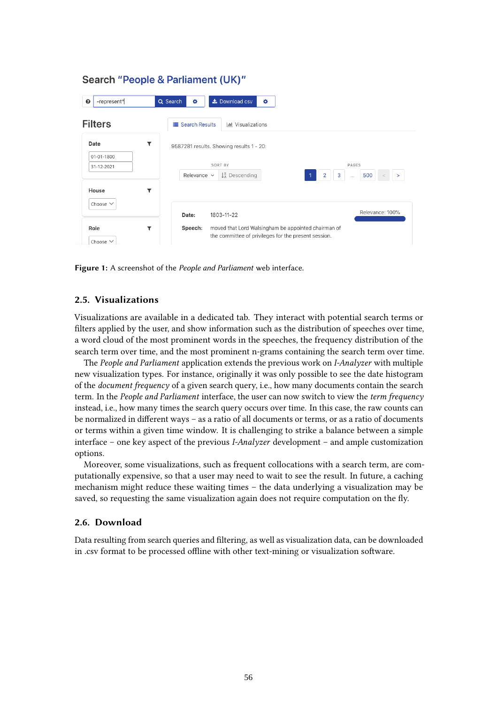#### -represent\* Q Search Le Download csv  $\Omega$ ¢ ö **Filters E** Search Results I III Visualizations Date  $\overline{\mathbf{r}}$ 9587281 results. Showing results 1 - 20: 01-01-1800 SORT BY PAGES 31-12-2021  $2 \mid 3 \mid$ 500 Relevance  $\vee$   $\downarrow_A^z$  Descending House  $\overline{\mathbf{r}}$ Choose  $\vee$ Relevance: 100% Date: 1803-11-22 Role  $\overline{\mathbf{r}}$ Speech: moved that Lord Walsingham be appointed chairman of the committee of privileges for the present session. Choose  $\vee$

Search "People & Parliament (UK)"

<span id="page-4-0"></span>**Figure 1:** A screenshot of the *People and Parliament* web interface.

## **2.5. Visualizations**

Visualizations are available in a dedicated tab. They interact with potential search terms or filters applied by the user, and show information such as the distribution of speeches over time, a word cloud of the most prominent words in the speeches, the frequency distribution of the search term over time, and the most prominent n-grams containing the search term over time.

The *People and Parliament* application extends the previous work on *I-Analyzer* with multiple new visualization types. For instance, originally it was only possible to see the date histogram of the *document frequency* of a given search query, i.e., how many documents contain the search term. In the *People and Parliament* interface, the user can now switch to view the *term frequency* instead, i.e., how many times the search query occurs over time. In this case, the raw counts can be normalized in different ways – as a ratio of all documents or terms, or as a ratio of documents or terms within a given time window. It is challenging to strike a balance between a simple interface – one key aspect of the previous *I-Analyzer* development – and ample customization options.

Moreover, some visualizations, such as frequent collocations with a search term, are computationally expensive, so that a user may need to wait to see the result. In future, a caching mechanism might reduce these waiting times – the data underlying a visualization may be saved, so requesting the same visualization again does not require computation on the fly.

### **2.6. Download**

Data resulting from search queries and filtering, as well as visualization data, can be downloaded in .csv format to be processed offline with other text-mining or visualization software.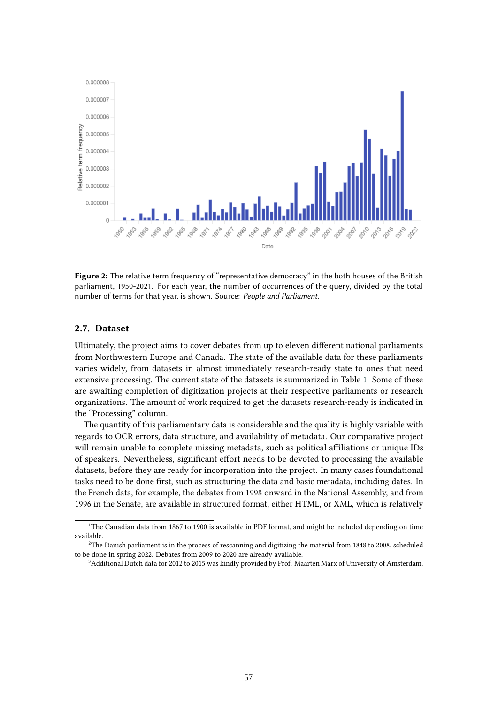

**Figure 2:** The relative term frequency of "representative democracy" in the both houses of the British parliament, 1950-2021. For each year, the number of occurrences of the query, divided by the total number of terms for that year, is shown. Source: *People and Parliament.*

### **2.7. Dataset**

Ultimately, the project aims to cover debates from up to eleven different national parliaments from Northwestern Europe and Canada. The state of the available data for these parliaments varies widely, from datasets in almost immediately research-ready state to ones that need extensive processing. The current state of the datasets is summarized in Table [1.](#page-6-0) Some of these are awaiting completion of digitization projects at their respective parliaments or research organizations. The amount of work required to get the datasets research-ready is indicated in the "Processing" column.

The quantity of this parliamentary data is considerable and the quality is highly variable with regards to OCR errors, data structure, and availability of metadata. Our comparative project will remain unable to complete missing metadata, such as political affiliations or unique IDs of speakers. Nevertheless, significant effort needs to be devoted to processing the available datasets, before they are ready for incorporation into the project. In many cases foundational tasks need to be done first, such as structuring the data and basic metadata, including dates. In the French data, for example, the debates from 1998 onward in the National Assembly, and from 1996 in the Senate, are available in structured format, either HTML, or XML, which is relatively

<span id="page-5-0"></span><sup>&</sup>lt;sup>1</sup>The Canadian data from 1867 to 1900 is available in PDF format, and might be included depending on time available.

<span id="page-5-1"></span><sup>&</sup>lt;sup>2</sup>The Danish parliament is in the process of rescanning and digitizing the material from 1848 to 2008, scheduled to be done in spring 2022. Debates from 2009 to 2020 are already available.

<span id="page-5-2"></span><sup>3</sup>Additional Dutch data for 2012 to 2015 was kindly provided by Prof. Maarten Marx of University of Amsterdam.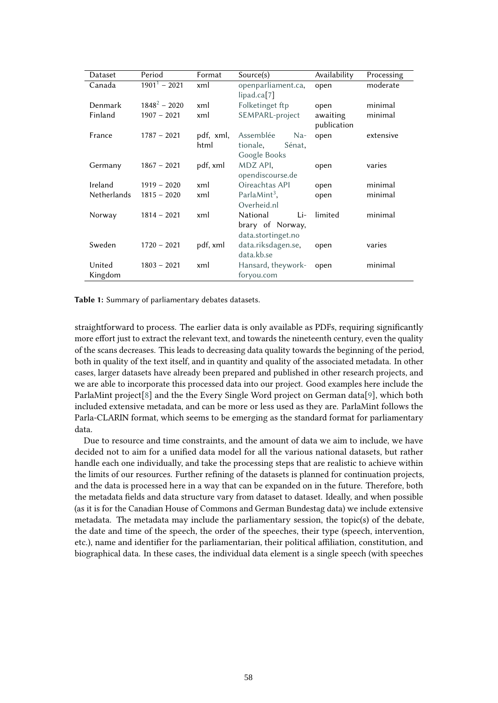| Dataset     | Period          | Format    | Source(s)                | Availability | Processing |
|-------------|-----------------|-----------|--------------------------|--------------|------------|
| Canada      | $1901^1 - 2021$ | xml       | openparliament.ca,       | open         | moderate   |
|             |                 |           | lipad.ca[7]              |              |            |
| Denmark     | $1848^2 - 2020$ | xml       | Folketinget ftp          | open         | minimal    |
| Finland     | $1907 - 2021$   | xml       | SEMPARL-project          | awaiting     | minimal    |
|             |                 |           |                          | publication  |            |
| France      | $1787 - 2021$   | pdf, xml, | Assemblée<br>$Na-$       | open         | extensive  |
|             |                 | html      | tionale,<br>Sénat,       |              |            |
|             |                 |           | Google Books             |              |            |
| Germany     | $1867 - 2021$   | pdf, xml  | MDZ API,                 | open         | varies     |
|             |                 |           | opendiscourse.de         |              |            |
| Ireland     | $1919 - 2020$   | xml       | Oireachtas API           | open         | minimal    |
| Netherlands | $1815 - 2020$   | xml       | ParlaMint <sup>3</sup> , | open         | minimal    |
|             |                 |           | Overheid.nl              |              |            |
| Norway      | $1814 - 2021$   | xml       | National<br>Li-          | limited      | minimal    |
|             |                 |           | brary of Norway,         |              |            |
|             |                 |           | data.stortinget.no       |              |            |
| Sweden      | $1720 - 2021$   | pdf, xml  | data.riksdagen.se,       | open         | varies     |
|             |                 |           | data.kb.se               |              |            |
| United      | $1803 - 2021$   | xml       | Hansard, theywork-       | open         | minimal    |
| Kingdom     |                 |           | foryou.com               |              |            |

<span id="page-6-0"></span>**Table 1:** Summary of parliamentary debates datasets.

straightforward to process. The earlier data is only available as PDFs, requiring significantly more effort just to extract the relevant text, and towards the nineteenth century, even the quality of the scans decreases. This leads to decreasing data quality towards the beginning of the period, both in quality of the text itself, and in quantity and quality of the associated metadata. In other cases, larger datasets have already been prepared and published in other research projects, and we are able to incorporate this processed data into our project. Good examples here include the ParlaMint project[\[8\]](#page-15-7) and the the Every Single Word project on German data[\[9\]](#page-15-8), which both included extensive metadata, and can be more or less used as they are. ParlaMint follows the Parla-CLARIN format, which seems to be emerging as the standard format for parliamentary data.

Due to resource and time constraints, and the amount of data we aim to include, we have decided not to aim for a unified data model for all the various national datasets, but rather handle each one individually, and take the processing steps that are realistic to achieve within the limits of our resources. Further refining of the datasets is planned for continuation projects, and the data is processed here in a way that can be expanded on in the future. Therefore, both the metadata fields and data structure vary from dataset to dataset. Ideally, and when possible (as it is for the Canadian House of Commons and German Bundestag data) we include extensive metadata. The metadata may include the parliamentary session, the topic(s) of the debate, the date and time of the speech, the order of the speeches, their type (speech, intervention, etc.), name and identifier for the parliamentarian, their political affiliation, constitution, and biographical data. In these cases, the individual data element is a single speech (with speeches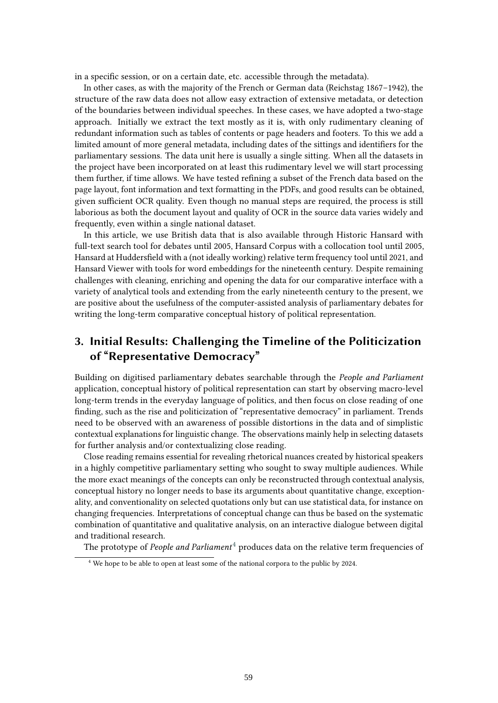in a specific session, or on a certain date, etc. accessible through the metadata).

In other cases, as with the majority of the French or German data (Reichstag 1867–1942), the structure of the raw data does not allow easy extraction of extensive metadata, or detection of the boundaries between individual speeches. In these cases, we have adopted a two-stage approach. Initially we extract the text mostly as it is, with only rudimentary cleaning of redundant information such as tables of contents or page headers and footers. To this we add a limited amount of more general metadata, including dates of the sittings and identifiers for the parliamentary sessions. The data unit here is usually a single sitting. When all the datasets in the project have been incorporated on at least this rudimentary level we will start processing them further, if time allows. We have tested refining a subset of the French data based on the page layout, font information and text formatting in the PDFs, and good results can be obtained, given sufficient OCR quality. Even though no manual steps are required, the process is still laborious as both the document layout and quality of OCR in the source data varies widely and frequently, even within a single national dataset.

In this article, we use British data that is also available through Historic Hansard with full-text search tool for debates until 2005, Hansard Corpus with a collocation tool until 2005, Hansard at Huddersfield with a (not ideally working) relative term frequency tool until 2021, and Hansard Viewer with tools for word embeddings for the nineteenth century. Despite remaining challenges with cleaning, enriching and opening the data for our comparative interface with a variety of analytical tools and extending from the early nineteenth century to the present, we are positive about the usefulness of the computer-assisted analysis of parliamentary debates for writing the long-term comparative conceptual history of political representation.

# **3. Initial Results: Challenging the Timeline of the Politicization of "Representative Democracy"**

Building on digitised parliamentary debates searchable through the *People and Parliament* application, conceptual history of political representation can start by observing macro-level long-term trends in the everyday language of politics, and then focus on close reading of one finding, such as the rise and politicization of "representative democracy" in parliament. Trends need to be observed with an awareness of possible distortions in the data and of simplistic contextual explanations for linguistic change. The observations mainly help in selecting datasets for further analysis and/or contextualizing close reading.

Close reading remains essential for revealing rhetorical nuances created by historical speakers in a highly competitive parliamentary setting who sought to sway multiple audiences. While the more exact meanings of the concepts can only be reconstructed through contextual analysis, conceptual history no longer needs to base its arguments about quantitative change, exceptionality, and conventionality on selected quotations only but can use statistical data, for instance on changing frequencies. Interpretations of conceptual change can thus be based on the systematic combination of quantitative and qualitative analysis, on an interactive dialogue between digital and traditional research.

The prototype of *People and Parliament*<sup>[4](#page-7-0)</sup> produces data on the relative term frequencies of

<span id="page-7-0"></span><sup>4</sup> We hope to be able to open at least some of the national corpora to the public by 2024.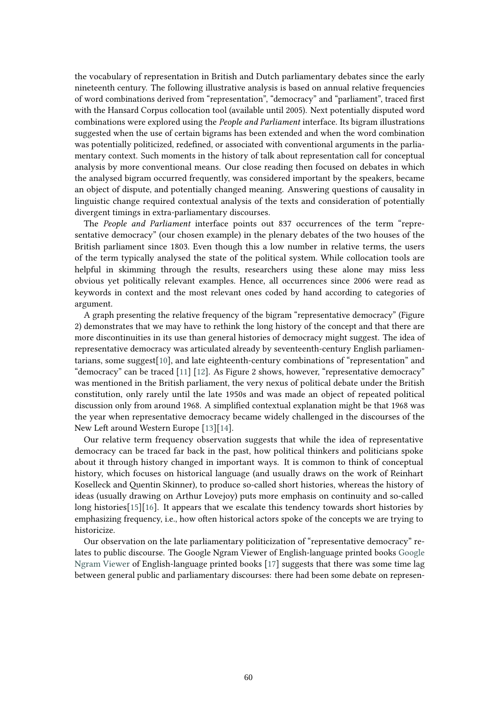the vocabulary of representation in British and Dutch parliamentary debates since the early nineteenth century. The following illustrative analysis is based on annual relative frequencies of word combinations derived from "representation", "democracy" and "parliament", traced first with the Hansard Corpus collocation tool (available until 2005). Next potentially disputed word combinations were explored using the *People and Parliament* interface. Its bigram illustrations suggested when the use of certain bigrams has been extended and when the word combination was potentially politicized, redefined, or associated with conventional arguments in the parliamentary context. Such moments in the history of talk about representation call for conceptual analysis by more conventional means. Our close reading then focused on debates in which the analysed bigram occurred frequently, was considered important by the speakers, became an object of dispute, and potentially changed meaning. Answering questions of causality in linguistic change required contextual analysis of the texts and consideration of potentially divergent timings in extra-parliamentary discourses.

The *People and Parliament* interface points out 837 occurrences of the term "representative democracy" (our chosen example) in the plenary debates of the two houses of the British parliament since 1803. Even though this a low number in relative terms, the users of the term typically analysed the state of the political system. While collocation tools are helpful in skimming through the results, researchers using these alone may miss less obvious yet politically relevant examples. Hence, all occurrences since 2006 were read as keywords in context and the most relevant ones coded by hand according to categories of argument.

A graph presenting the relative frequency of the bigram "representative democracy" (Figure 2) demonstrates that we may have to rethink the long history of the concept and that there are more discontinuities in its use than general histories of democracy might suggest. The idea of representative democracy was articulated already by seventeenth-century English parliamentarians, some suggest[\[10\]](#page-15-9), and late eighteenth-century combinations of "representation" and "democracy" can be traced [\[11](#page-16-0)] [\[12\]](#page-16-1). As Figure 2 shows, however, "representative democracy" was mentioned in the British parliament, the very nexus of political debate under the British constitution, only rarely until the late 1950s and was made an object of repeated political discussion only from around 1968. A simplified contextual explanation might be that 1968 was the year when representative democracy became widely challenged in the discourses of the New Left around Western Europe [\[13\]](#page-16-2)[[14\]](#page-16-3).

Our relative term frequency observation suggests that while the idea of representative democracy can be traced far back in the past, how political thinkers and politicians spoke about it through history changed in important ways. It is common to think of conceptual history, which focuses on historical language (and usually draws on the work of Reinhart Koselleck and Quentin Skinner), to produce so-called short histories, whereas the history of ideas (usually drawing on Arthur Lovejoy) puts more emphasis on continuity and so-called long histories[\[15\]](#page-16-4)[[16\]](#page-16-5). It appears that we escalate this tendency towards short histories by emphasizing frequency, i.e., how often historical actors spoke of the concepts we are trying to historicize.

Our observation on the late parliamentary politicization of "representative democracy" relates to public discourse. The Google Ngram Viewer of English-language printed books [Google](https://books.google.com/ngrams) Ngram [Viewer](https://books.google.com/ngrams) of English-language printed books [\[17](#page-16-6)] suggests that there was some time lag between general public and parliamentary discourses: there had been some debate on represen-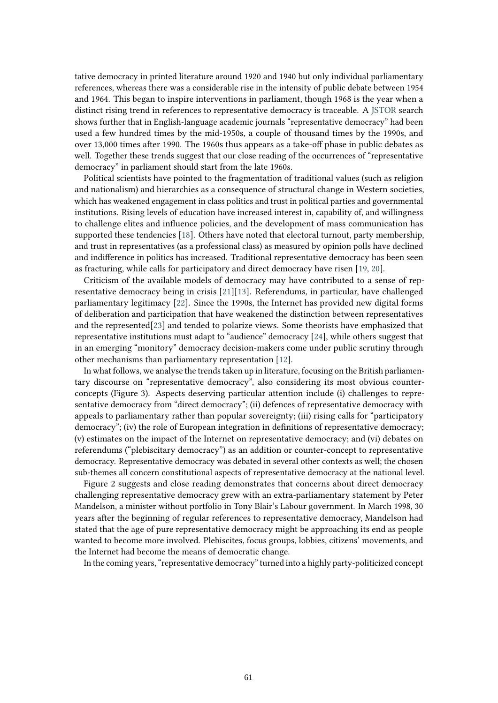tative democracy in printed literature around 1920 and 1940 but only individual parliamentary references, whereas there was a considerable rise in the intensity of public debate between 1954 and 1964. This began to inspire interventions in parliament, though 1968 is the year when a distinct rising trend in references to representative democracy is traceable. A [JSTOR](https://www.jstor.org/) search shows further that in English-language academic journals "representative democracy" had been used a few hundred times by the mid-1950s, a couple of thousand times by the 1990s, and over 13,000 times after 1990. The 1960s thus appears as a take-off phase in public debates as well. Together these trends suggest that our close reading of the occurrences of "representative democracy" in parliament should start from the late 1960s.

Political scientists have pointed to the fragmentation of traditional values (such as religion and nationalism) and hierarchies as a consequence of structural change in Western societies, which has weakened engagement in class politics and trust in political parties and governmental institutions. Rising levels of education have increased interest in, capability of, and willingness to challenge elites and influence policies, and the development of mass communication has supported these tendencies [\[18\]](#page-16-7). Others have noted that electoral turnout, party membership, and trust in representatives (as a professional class) as measured by opinion polls have declined and indifference in politics has increased. Traditional representative democracy has been seen as fracturing, while calls for participatory and direct democracy have risen [\[19,](#page-16-8) [20\]](#page-16-9).

Criticism of the available models of democracy may have contributed to a sense of representative democracy being in crisis [\[21\]](#page-16-10)[\[13\]](#page-16-2). Referendums, in particular, have challenged parliamentary legitimacy [\[22\]](#page-16-11). Since the 1990s, the Internet has provided new digital forms of deliberation and participation that have weakened the distinction between representatives and the represented[\[23\]](#page-16-12) and tended to polarize views. Some theorists have emphasized that representative institutions must adapt to "audience" democracy [\[24\]](#page-16-13), while others suggest that in an emerging "monitory" democracy decision-makers come under public scrutiny through other mechanisms than parliamentary representation [\[12\]](#page-16-1).

In what follows, we analyse the trends taken up in literature, focusing on the British parliamentary discourse on "representative democracy", also considering its most obvious counterconcepts (Figure 3). Aspects deserving particular attention include (i) challenges to representative democracy from "direct democracy"; (ii) defences of representative democracy with appeals to parliamentary rather than popular sovereignty; (iii) rising calls for "participatory democracy"; (iv) the role of European integration in definitions of representative democracy; (v) estimates on the impact of the Internet on representative democracy; and (vi) debates on referendums ("plebiscitary democracy") as an addition or counter-concept to representative democracy. Representative democracy was debated in several other contexts as well; the chosen sub-themes all concern constitutional aspects of representative democracy at the national level.

Figure 2 suggests and close reading demonstrates that concerns about direct democracy challenging representative democracy grew with an extra-parliamentary statement by Peter Mandelson, a minister without portfolio in Tony Blair's Labour government. In March 1998, 30 years after the beginning of regular references to representative democracy, Mandelson had stated that the age of pure representative democracy might be approaching its end as people wanted to become more involved. Plebiscites, focus groups, lobbies, citizens' movements, and the Internet had become the means of democratic change.

In the coming years, "representative democracy" turned into a highly party-politicized concept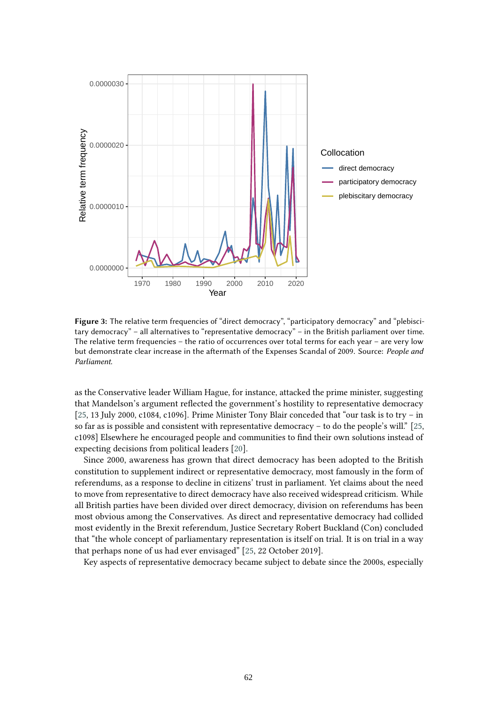

Figure 3: The relative term frequencies of "direct democracy", "participatory democracy" and "plebiscitary democracy" – all alternatives to "representative democracy" – in the British parliament over time. The relative term frequencies – the ratio of occurrences over total terms for each year – are very low but demonstrate clear increase in the aftermath of the Expenses Scandal of 2009. Source: *People and Parliament*.

as the Conservative leader William Hague, for instance, attacked the prime minister, suggesting that Mandelson's argument reflected the government's hostility to representative democracy [\[25,](#page-16-14) 13 July 2000, c1084, c1096]. Prime Minister Tony Blair conceded that "our task is to try – in so far as is possible and consistent with representative democracy – to do the people's will." [\[25,](#page-16-14) c1098] Elsewhere he encouraged people and communities to find their own solutions instead of expecting decisions from political leaders [\[20\]](#page-16-9).

Since 2000, awareness has grown that direct democracy has been adopted to the British constitution to supplement indirect or representative democracy, most famously in the form of referendums, as a response to decline in citizens' trust in parliament. Yet claims about the need to move from representative to direct democracy have also received widespread criticism. While all British parties have been divided over direct democracy, division on referendums has been most obvious among the Conservatives. As direct and representative democracy had collided most evidently in the Brexit referendum, Justice Secretary Robert Buckland (Con) concluded that "the whole concept of parliamentary representation is itself on trial. It is on trial in a way that perhaps none of us had ever envisaged" [\[25,](#page-16-14) 22 October 2019].

Key aspects of representative democracy became subject to debate since the 2000s, especially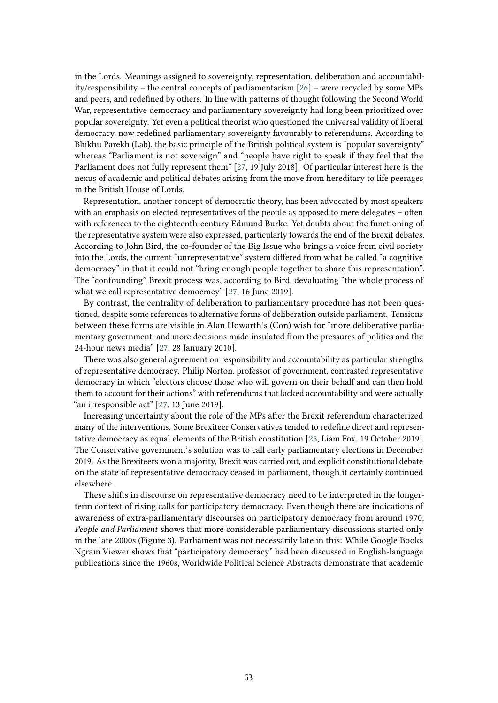in the Lords. Meanings assigned to sovereignty, representation, deliberation and accountability/responsibility – the central concepts of parliamentarism [\[26\]](#page-16-15) – were recycled by some MPs and peers, and redefined by others. In line with patterns of thought following the Second World War, representative democracy and parliamentary sovereignty had long been prioritized over popular sovereignty. Yet even a political theorist who questioned the universal validity of liberal democracy, now redefined parliamentary sovereignty favourably to referendums. According to Bhikhu Parekh (Lab), the basic principle of the British political system is "popular sovereignty" whereas "Parliament is not sovereign" and "people have right to speak if they feel that the Parliament does not fully represent them" [\[27,](#page--1-0) 19 July 2018]. Of particular interest here is the nexus of academic and political debates arising from the move from hereditary to life peerages in the British House of Lords.

Representation, another concept of democratic theory, has been advocated by most speakers with an emphasis on elected representatives of the people as opposed to mere delegates - often with references to the eighteenth-century Edmund Burke. Yet doubts about the functioning of the representative system were also expressed, particularly towards the end of the Brexit debates. According to John Bird, the co-founder of the Big Issue who brings a voice from civil society into the Lords, the current "unrepresentative" system differed from what he called "a cognitive democracy" in that it could not "bring enough people together to share this representation". The "confounding" Brexit process was, according to Bird, devaluating "the whole process of what we call representative democracy" [\[27,](#page--1-0) 16 June 2019].

By contrast, the centrality of deliberation to parliamentary procedure has not been questioned, despite some references to alternative forms of deliberation outside parliament. Tensions between these forms are visible in Alan Howarth's (Con) wish for "more deliberative parliamentary government, and more decisions made insulated from the pressures of politics and the 24-hour news media" [\[27,](#page--1-0) 28 January 2010].

There was also general agreement on responsibility and accountability as particular strengths of representative democracy. Philip Norton, professor of government, contrasted representative democracy in which "electors choose those who will govern on their behalf and can then hold them to account for their actions" with referendums that lacked accountability and were actually "an irresponsible act" [\[27,](#page--1-0) 13 June 2019].

Increasing uncertainty about the role of the MPs after the Brexit referendum characterized many of the interventions. Some Brexiteer Conservatives tended to redefine direct and representative democracy as equal elements of the British constitution [\[25,](#page-16-14) Liam Fox, 19 October 2019]. The Conservative government's solution was to call early parliamentary elections in December 2019. As the Brexiteers won a majority, Brexit was carried out, and explicit constitutional debate on the state of representative democracy ceased in parliament, though it certainly continued elsewhere.

These shifts in discourse on representative democracy need to be interpreted in the longerterm context of rising calls for participatory democracy. Even though there are indications of awareness of extra-parliamentary discourses on participatory democracy from around 1970, *People and Parliament* shows that more considerable parliamentary discussions started only in the late 2000s (Figure 3). Parliament was not necessarily late in this: While Google Books Ngram Viewer shows that "participatory democracy" had been discussed in English-language publications since the 1960s, Worldwide Political Science Abstracts demonstrate that academic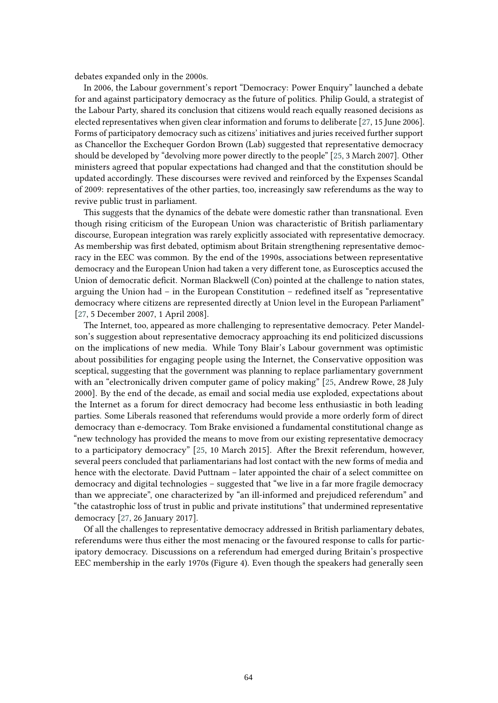debates expanded only in the 2000s.

In 2006, the Labour government's report "Democracy: Power Enquiry" launched a debate for and against participatory democracy as the future of politics. Philip Gould, a strategist of the Labour Party, shared its conclusion that citizens would reach equally reasoned decisions as elected representatives when given clear information and forums to deliberate [\[27,](#page--1-0) 15 June 2006]. Forms of participatory democracy such as citizens' initiatives and juries received further support as Chancellor the Exchequer Gordon Brown (Lab) suggested that representative democracy should be developed by "devolving more power directly to the people" [\[25,](#page-16-14) 3 March 2007]. Other ministers agreed that popular expectations had changed and that the constitution should be updated accordingly. These discourses were revived and reinforced by the Expenses Scandal of 2009: representatives of the other parties, too, increasingly saw referendums as the way to revive public trust in parliament.

This suggests that the dynamics of the debate were domestic rather than transnational. Even though rising criticism of the European Union was characteristic of British parliamentary discourse, European integration was rarely explicitly associated with representative democracy. As membership was first debated, optimism about Britain strengthening representative democracy in the EEC was common. By the end of the 1990s, associations between representative democracy and the European Union had taken a very different tone, as Eurosceptics accused the Union of democratic deficit. Norman Blackwell (Con) pointed at the challenge to nation states, arguing the Union had – in the European Constitution – redefined itself as "representative democracy where citizens are represented directly at Union level in the European Parliament" [\[27,](#page--1-0) 5 December 2007, 1 April 2008].

The Internet, too, appeared as more challenging to representative democracy. Peter Mandelson's suggestion about representative democracy approaching its end politicized discussions on the implications of new media. While Tony Blair's Labour government was optimistic about possibilities for engaging people using the Internet, the Conservative opposition was sceptical, suggesting that the government was planning to replace parliamentary government with an "electronically driven computer game of policy making" [\[25,](#page-16-14) Andrew Rowe, 28 July 2000]. By the end of the decade, as email and social media use exploded, expectations about the Internet as a forum for direct democracy had become less enthusiastic in both leading parties. Some Liberals reasoned that referendums would provide a more orderly form of direct democracy than e-democracy. Tom Brake envisioned a fundamental constitutional change as "new technology has provided the means to move from our existing representative democracy to a participatory democracy" [\[25,](#page-16-14) 10 March 2015]. After the Brexit referendum, however, several peers concluded that parliamentarians had lost contact with the new forms of media and hence with the electorate. David Puttnam – later appointed the chair of a select committee on democracy and digital technologies – suggested that "we live in a far more fragile democracy than we appreciate", one characterized by "an ill-informed and prejudiced referendum" and "the catastrophic loss of trust in public and private institutions" that undermined representative democracy [\[27,](#page--1-0) 26 January 2017].

Of all the challenges to representative democracy addressed in British parliamentary debates, referendums were thus either the most menacing or the favoured response to calls for participatory democracy. Discussions on a referendum had emerged during Britain's prospective EEC membership in the early 1970s (Figure 4). Even though the speakers had generally seen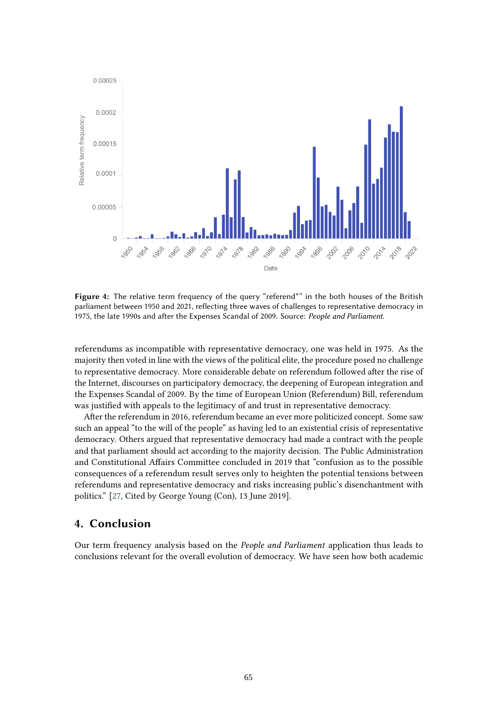

Figure 4: The relative term frequency of the query "referend\*" in the both houses of the British parliament between 1950 and 2021, reflecting three waves of challenges to representative democracy in 1975, the late 1990s and after the Expenses Scandal of 2009. Source: *People and Parliament*.

referendums as incompatible with representative democracy, one was held in 1975. As the majority then voted in line with the views of the political elite, the procedure posed no challenge to representative democracy. More considerable debate on referendum followed after the rise of the Internet, discourses on participatory democracy, the deepening of European integration and the Expenses Scandal of 2009. By the time of European Union (Referendum) Bill, referendum was justified with appeals to the legitimacy of and trust in representative democracy.

After the referendum in 2016, referendum became an ever more politicized concept. Some saw such an appeal "to the will of the people" as having led to an existential crisis of representative democracy. Others argued that representative democracy had made a contract with the people and that parliament should act according to the majority decision. The Public Administration and Constitutional Affairs Committee concluded in 2019 that "confusion as to the possible consequences of a referendum result serves only to heighten the potential tensions between referendums and representative democracy and risks increasing public's disenchantment with politics." [\[27,](#page--1-0) Cited by George Young (Con), 13 June 2019].

# **4. Conclusion**

Our term frequency analysis based on the *People and Parliament* application thus leads to conclusions relevant for the overall evolution of democracy. We have seen how both academic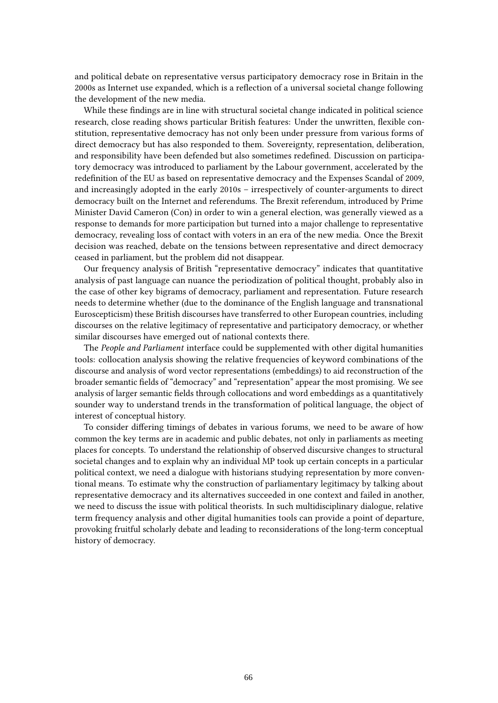and political debate on representative versus participatory democracy rose in Britain in the 2000s as Internet use expanded, which is a reflection of a universal societal change following the development of the new media.

While these findings are in line with structural societal change indicated in political science research, close reading shows particular British features: Under the unwritten, flexible constitution, representative democracy has not only been under pressure from various forms of direct democracy but has also responded to them. Sovereignty, representation, deliberation, and responsibility have been defended but also sometimes redefined. Discussion on participatory democracy was introduced to parliament by the Labour government, accelerated by the redefinition of the EU as based on representative democracy and the Expenses Scandal of 2009, and increasingly adopted in the early 2010s – irrespectively of counter-arguments to direct democracy built on the Internet and referendums. The Brexit referendum, introduced by Prime Minister David Cameron (Con) in order to win a general election, was generally viewed as a response to demands for more participation but turned into a major challenge to representative democracy, revealing loss of contact with voters in an era of the new media. Once the Brexit decision was reached, debate on the tensions between representative and direct democracy ceased in parliament, but the problem did not disappear.

Our frequency analysis of British "representative democracy" indicates that quantitative analysis of past language can nuance the periodization of political thought, probably also in the case of other key bigrams of democracy, parliament and representation. Future research needs to determine whether (due to the dominance of the English language and transnational Euroscepticism) these British discourses have transferred to other European countries, including discourses on the relative legitimacy of representative and participatory democracy, or whether similar discourses have emerged out of national contexts there.

The *People and Parliament* interface could be supplemented with other digital humanities tools: collocation analysis showing the relative frequencies of keyword combinations of the discourse and analysis of word vector representations (embeddings) to aid reconstruction of the broader semantic fields of "democracy" and "representation" appear the most promising. We see analysis of larger semantic fields through collocations and word embeddings as a quantitatively sounder way to understand trends in the transformation of political language, the object of interest of conceptual history.

To consider differing timings of debates in various forums, we need to be aware of how common the key terms are in academic and public debates, not only in parliaments as meeting places for concepts. To understand the relationship of observed discursive changes to structural societal changes and to explain why an individual MP took up certain concepts in a particular political context, we need a dialogue with historians studying representation by more conventional means. To estimate why the construction of parliamentary legitimacy by talking about representative democracy and its alternatives succeeded in one context and failed in another, we need to discuss the issue with political theorists. In such multidisciplinary dialogue, relative term frequency analysis and other digital humanities tools can provide a point of departure, provoking fruitful scholarly debate and leading to reconsiderations of the long-term conceptual history of democracy.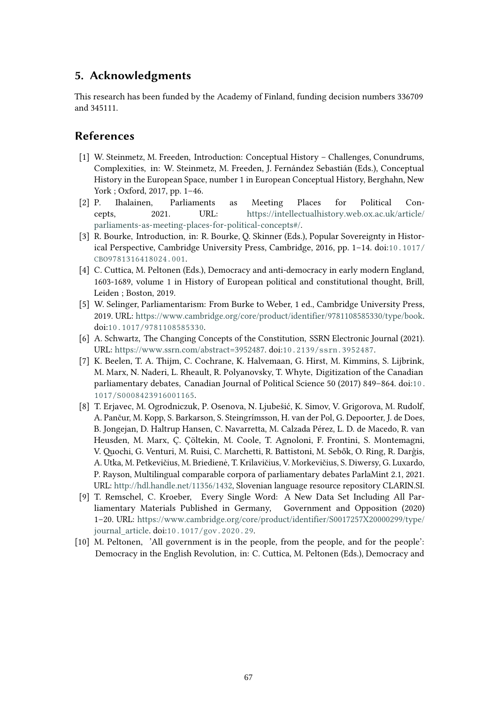# **5. Acknowledgments**

This research has been funded by the Academy of Finland, funding decision numbers 336709 and 345111.

# **References**

- <span id="page-15-0"></span>[1] W. Steinmetz, M. Freeden, Introduction: Conceptual History – Challenges, Conundrums, Complexities, in: W. Steinmetz, M. Freeden, J. Fernández Sebastián (Eds.), Conceptual History in the European Space, number 1 in European Conceptual History, Berghahn, New York ; Oxford, 2017, pp. 1–46.
- <span id="page-15-1"></span>[2] P. Ihalainen, Parliaments as Meeting Places for Political Concepts, 2021. URL: [https://intellectualhistory.web.ox.ac.uk/article/](https://intellectualhistory.web.ox.ac.uk/article/parliaments-as-meeting-places-for-political-concepts#/) [parliaments-as-meeting-places-for-political-concepts#/.](https://intellectualhistory.web.ox.ac.uk/article/parliaments-as-meeting-places-for-political-concepts#/)
- <span id="page-15-2"></span>[3] R. Bourke, Introduction, in: R. Bourke, Q. Skinner (Eds.), Popular Sovereignty in Historical Perspective, Cambridge University Press, Cambridge, 2016, pp. 1–14. doi:[10.1017/](http://dx.doi.org/10.1017/CBO9781316418024.001) [CBO9781316418024.001](http://dx.doi.org/10.1017/CBO9781316418024.001).
- <span id="page-15-3"></span>[4] C. Cuttica, M. Peltonen (Eds.), Democracy and anti-democracy in early modern England, 1603-1689, volume 1 in History of European political and constitutional thought, Brill, Leiden ; Boston, 2019.
- <span id="page-15-4"></span>[5] W. Selinger, Parliamentarism: From Burke to Weber, 1 ed., Cambridge University Press, 2019. URL: [https://www.cambridge.org/core/product/identifier/9781108585330/type/book.](https://www.cambridge.org/core/product/identifier/9781108585330/type/book) doi:[10.1017/9781108585330](http://dx.doi.org/10.1017/9781108585330).
- <span id="page-15-5"></span>[6] A. Schwartz, The Changing Concepts of the Constitution, SSRN Electronic Journal (2021). URL: [https://www.ssrn.com/abstract=3952487.](https://www.ssrn.com/abstract=3952487) doi:[10.2139/ssrn.3952487](http://dx.doi.org/10.2139/ssrn.3952487).
- <span id="page-15-6"></span>[7] K. Beelen, T. A. Thijm, C. Cochrane, K. Halvemaan, G. Hirst, M. Kimmins, S. Lijbrink, M. Marx, N. Naderi, L. Rheault, R. Polyanovsky, T. Whyte, Digitization of the Canadian parliamentary debates, Canadian Journal of Political Science 50 (2017) 849–864. doi:[10.](http://dx.doi.org/10.1017/S0008423916001165) [1017/S0008423916001165](http://dx.doi.org/10.1017/S0008423916001165).
- <span id="page-15-7"></span>[8] T. Erjavec, M. Ogrodniczuk, P. Osenova, N. Ljubešić, K. Simov, V. Grigorova, M. Rudolf, A. Pančur, M. Kopp, S. Barkarson, S. Steingrímsson, H. van der Pol, G. Depoorter, J. de Does, B. Jongejan, D. Haltrup Hansen, C. Navarretta, M. Calzada Pérez, L. D. de Macedo, R. van Heusden, M. Marx, Ç. Çöltekin, M. Coole, T. Agnoloni, F. Frontini, S. Montemagni, V. Quochi, G. Venturi, M. Ruisi, C. Marchetti, R. Battistoni, M. Sebők, O. Ring, R. Darģis, A. Utka, M. Petkevičius, M. Briedienė, T. Krilavičius, V. Morkevičius, S. Diwersy, G. Luxardo, P. Rayson, Multilingual comparable corpora of parliamentary debates ParlaMint 2.1, 2021. URL: [http://hdl.handle.net/11356/1432,](http://hdl.handle.net/11356/1432) Slovenian language resource repository CLARIN.SI.
- <span id="page-15-8"></span>[9] T. Remschel, C. Kroeber, Every Single Word: A New Data Set Including All Parliamentary Materials Published in Germany, Government and Opposition (2020) 1–20. URL: [https://www.cambridge.org/core/product/identifier/S0017257X20000299/type/](https://www.cambridge.org/core/product/identifier/S0017257X20000299/type/journal_article) [journal\\_article.](https://www.cambridge.org/core/product/identifier/S0017257X20000299/type/journal_article) doi:[10.1017/gov.2020.29](http://dx.doi.org/10.1017/gov.2020.29).
- <span id="page-15-9"></span>[10] M. Peltonen, 'All government is in the people, from the people, and for the people': Democracy in the English Revolution, in: C. Cuttica, M. Peltonen (Eds.), Democracy and